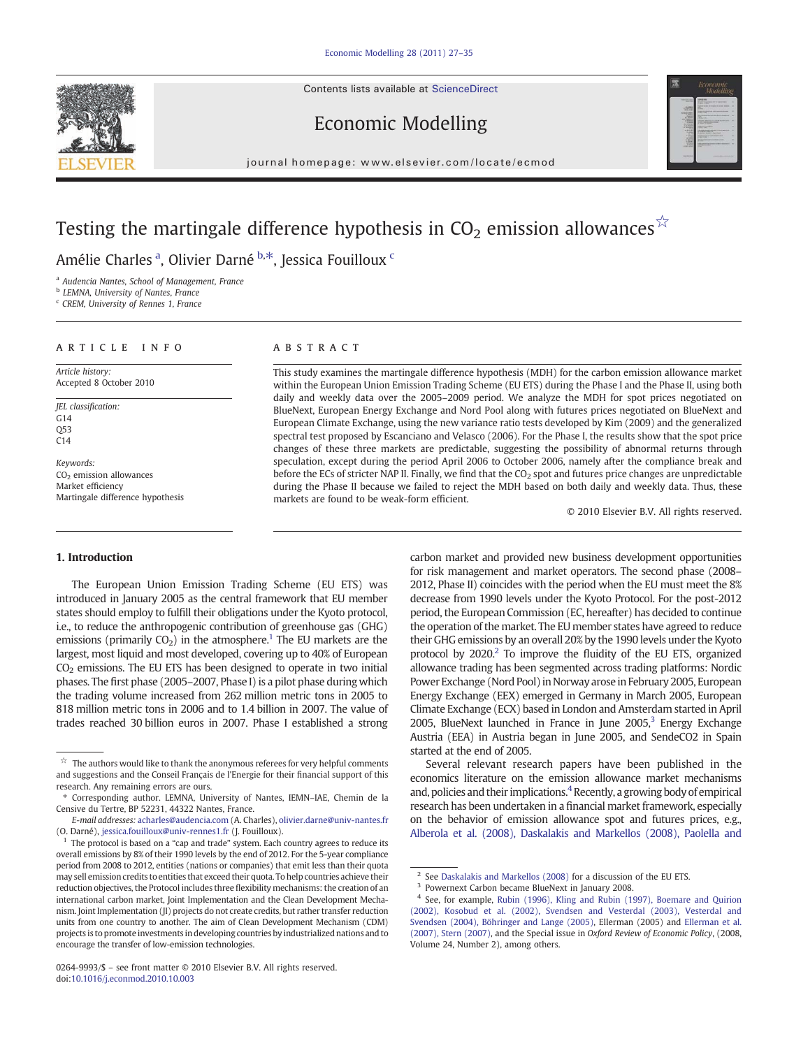Contents lists available at [ScienceDirect](http://www.sciencedirect.com/science/journal/02649993)







journal homepage: www.elsevier.com/locate/ecmod

# Testing the martingale difference hypothesis in  $CO<sub>2</sub>$  emission allowances<sup>☆</sup>

Amélie Charles <sup>a</sup>, Olivier Darné <sup>b,\*</sup>, Jessica Fouilloux <sup>c</sup>

<sup>a</sup> Audencia Nantes, School of Management, France

**b** LEMNA, University of Nantes, France

<sup>c</sup> CREM, University of Rennes 1, France

### article info abstract

Article history: Accepted 8 October 2010

JEL classification: G14 Q53 C14

Keywords:  $CO<sub>2</sub>$  emission allowances Market efficiency Martingale difference hypothesis

# 1. Introduction

The European Union Emission Trading Scheme (EU ETS) was introduced in January 2005 as the central framework that EU member states should employ to fulfill their obligations under the Kyoto protocol, i.e., to reduce the anthropogenic contribution of greenhouse gas (GHG) emissions (primarily  $CO<sub>2</sub>$ ) in the atmosphere.<sup>1</sup> The EU markets are the largest, most liquid and most developed, covering up to 40% of European CO2 emissions. The EU ETS has been designed to operate in two initial phases. The first phase (2005–2007, Phase I) is a pilot phase during which the trading volume increased from 262 million metric tons in 2005 to 818 million metric tons in 2006 and to 1.4 billion in 2007. The value of trades reached 30 billion euros in 2007. Phase I established a strong

This study examines the martingale difference hypothesis (MDH) for the carbon emission allowance market within the European Union Emission Trading Scheme (EU ETS) during the Phase I and the Phase II, using both daily and weekly data over the 2005–2009 period. We analyze the MDH for spot prices negotiated on BlueNext, European Energy Exchange and Nord Pool along with futures prices negotiated on BlueNext and European Climate Exchange, using the new variance ratio tests developed by Kim (2009) and the generalized spectral test proposed by Escanciano and Velasco (2006). For the Phase I, the results show that the spot price changes of these three markets are predictable, suggesting the possibility of abnormal returns through speculation, except during the period April 2006 to October 2006, namely after the compliance break and before the ECs of stricter NAP II. Finally, we find that the  $CO<sub>2</sub>$  spot and futures price changes are unpredictable during the Phase II because we failed to reject the MDH based on both daily and weekly data. Thus, these markets are found to be weak-form efficient.

© 2010 Elsevier B.V. All rights reserved.

carbon market and provided new business development opportunities for risk management and market operators. The second phase (2008– 2012, Phase II) coincides with the period when the EU must meet the 8% decrease from 1990 levels under the Kyoto Protocol. For the post-2012 period, the European Commission (EC, hereafter) has decided to continue the operation of the market. The EU member states have agreed to reduce their GHG emissions by an overall 20% by the 1990 levels under the Kyoto protocol by 2020.<sup>2</sup> To improve the fluidity of the EU ETS, organized allowance trading has been segmented across trading platforms: Nordic Power Exchange (Nord Pool) in Norway arosein February 2005, European Energy Exchange (EEX) emerged in Germany in March 2005, European Climate Exchange (ECX) based in London and Amsterdam started in April 2005, BlueNext launched in France in June  $2005$ ,<sup>3</sup> Energy Exchange Austria (EEA) in Austria began in June 2005, and SendeCO2 in Spain started at the end of 2005.

Several relevant research papers have been published in the economics literature on the emission allowance market mechanisms and, policies and their implications.<sup>4</sup> Recently, a growing body of empirical research has been undertaken in a financial market framework, especially on the behavior of emission allowance spot and futures prices, e.g., [Alberola et al. \(2008\), Daskalakis and Markellos \(2008\), Paolella and](#page--1-0)

 $\mathbb{\dot{A}}$  The authors would like to thank the anonymous referees for very helpful comments and suggestions and the Conseil Français de l'Energie for their financial support of this research. Any remaining errors are ours.

<sup>⁎</sup> Corresponding author. LEMNA, University of Nantes, IEMN–IAE, Chemin de la Censive du Tertre, BP 52231, 44322 Nantes, France.

E-mail addresses: [acharles@audencia.com](mailto:acharles@audencia.com) (A. Charles), [olivier.darne@univ-nantes.fr](mailto:olivier.darne@univ-nantes.fr) (O. Darné), [jessica.fouilloux@univ-rennes1.fr](mailto:jessica.fouilloux@univ-rennes1.fr) (J. Fouilloux).

<sup>1</sup> The protocol is based on a "cap and trade" system. Each country agrees to reduce its overall emissions by 8% of their 1990 levels by the end of 2012. For the 5-year compliance period from 2008 to 2012, entities (nations or companies) that emit less than their quota may sell emission credits to entities that exceed their quota. To help countries achieve their reduction objectives, the Protocol includes three flexibility mechanisms: the creation of an international carbon market, Joint Implementation and the Clean Development Mechanism. Joint Implementation (JI) projects do not create credits, but rather transfer reduction units from one country to another. The aim of Clean Development Mechanism (CDM) projects is to promote investments in developing countries by industrialized nations and to encourage the transfer of low-emission technologies.

<sup>0264-9993/\$</sup> – see front matter © 2010 Elsevier B.V. All rights reserved. doi:[10.1016/j.econmod.2010.10.003](http://dx.doi.org/10.1016/j.econmod.2010.10.003)

<sup>&</sup>lt;sup>2</sup> See [Daskalakis and Markellos \(2008\)](#page--1-0) for a discussion of the EU ETS.

<sup>3</sup> Powernext Carbon became BlueNext in January 2008.

<sup>4</sup> See, for example, [Rubin \(1996\), Kling and Rubin \(1997\), Boemare and Quirion](#page--1-0) [\(2002\), Kosobud et al. \(2002\), Svendsen and Vesterdal \(2003\), Vesterdal and](#page--1-0) [Svendsen \(2004\), Böhringer and Lange \(2005\)](#page--1-0), Ellerman (2005) and [Ellerman et al.](#page--1-0) [\(2007\), Stern \(2007\),](#page--1-0) and the Special issue in Oxford Review of Economic Policy, (2008, Volume 24, Number 2), among others.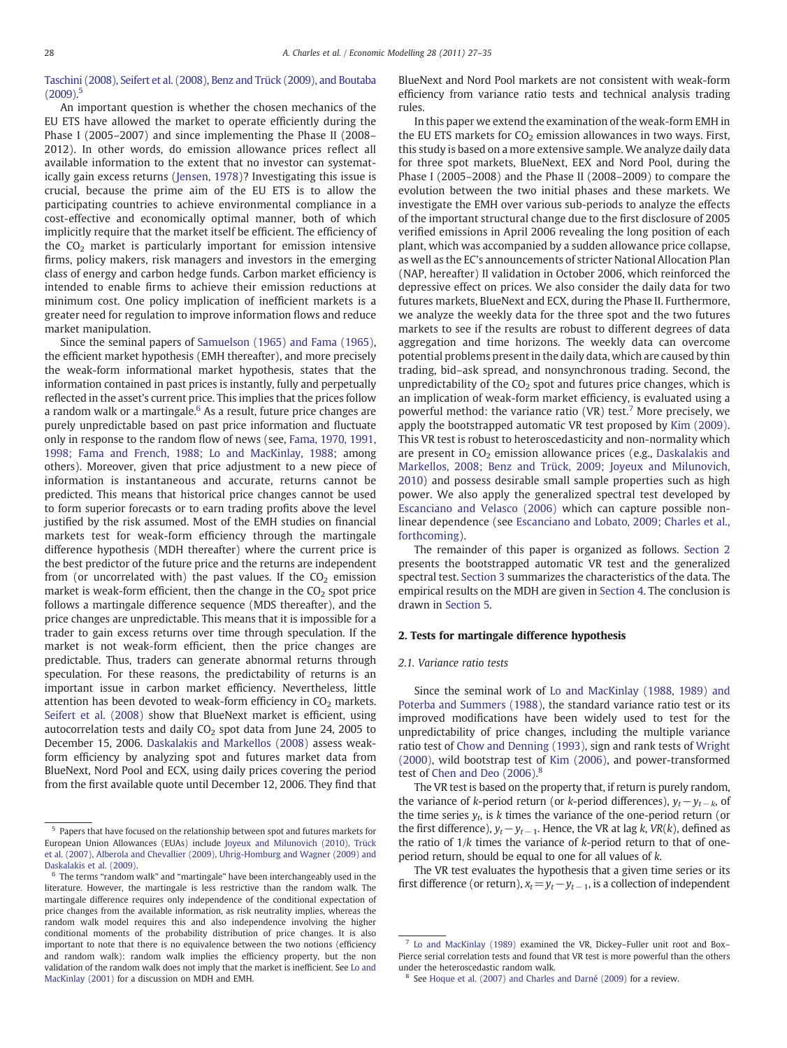# [Taschini \(2008\), Seifert et al. \(2008\), Benz and Trück \(2009\), and Boutaba](#page--1-0)  $(2009).$ <sup>5</sup>

An important question is whether the chosen mechanics of the EU ETS have allowed the market to operate efficiently during the Phase I (2005–2007) and since implementing the Phase II (2008– 2012). In other words, do emission allowance prices reflect all available information to the extent that no investor can systematically gain excess returns ([Jensen, 1978\)](#page--1-0)? Investigating this issue is crucial, because the prime aim of the EU ETS is to allow the participating countries to achieve environmental compliance in a cost-effective and economically optimal manner, both of which implicitly require that the market itself be efficient. The efficiency of the  $CO<sub>2</sub>$  market is particularly important for emission intensive firms, policy makers, risk managers and investors in the emerging class of energy and carbon hedge funds. Carbon market efficiency is intended to enable firms to achieve their emission reductions at minimum cost. One policy implication of inefficient markets is a greater need for regulation to improve information flows and reduce market manipulation.

Since the seminal papers of [Samuelson \(1965\) and Fama \(1965\),](#page--1-0) the efficient market hypothesis (EMH thereafter), and more precisely the weak-form informational market hypothesis, states that the information contained in past prices is instantly, fully and perpetually reflected in the asset's current price. This implies that the prices follow a random walk or a martingale. $6$  As a result, future price changes are purely unpredictable based on past price information and fluctuate only in response to the random flow of news (see, [Fama, 1970, 1991,](#page--1-0) [1998; Fama and French, 1988; Lo and MacKinlay, 1988](#page--1-0); among others). Moreover, given that price adjustment to a new piece of information is instantaneous and accurate, returns cannot be predicted. This means that historical price changes cannot be used to form superior forecasts or to earn trading profits above the level justified by the risk assumed. Most of the EMH studies on financial markets test for weak-form efficiency through the martingale difference hypothesis (MDH thereafter) where the current price is the best predictor of the future price and the returns are independent from (or uncorrelated with) the past values. If the  $CO<sub>2</sub>$  emission market is weak-form efficient, then the change in the  $CO<sub>2</sub>$  spot price follows a martingale difference sequence (MDS thereafter), and the price changes are unpredictable. This means that it is impossible for a trader to gain excess returns over time through speculation. If the market is not weak-form efficient, then the price changes are predictable. Thus, traders can generate abnormal returns through speculation. For these reasons, the predictability of returns is an important issue in carbon market efficiency. Nevertheless, little attention has been devoted to weak-form efficiency in  $CO<sub>2</sub>$  markets. [Seifert et al. \(2008\)](#page--1-0) show that BlueNext market is efficient, using autocorrelation tests and daily  $CO<sub>2</sub>$  spot data from June 24, 2005 to December 15, 2006. [Daskalakis and Markellos \(2008\)](#page--1-0) assess weakform efficiency by analyzing spot and futures market data from BlueNext, Nord Pool and ECX, using daily prices covering the period from the first available quote until December 12, 2006. They find that BlueNext and Nord Pool markets are not consistent with weak-form efficiency from variance ratio tests and technical analysis trading rules.

In this paper we extend the examination of the weak-form EMH in the EU ETS markets for  $CO<sub>2</sub>$  emission allowances in two ways. First, this study is based on a more extensive sample. We analyze daily data for three spot markets, BlueNext, EEX and Nord Pool, during the Phase I (2005–2008) and the Phase II (2008–2009) to compare the evolution between the two initial phases and these markets. We investigate the EMH over various sub-periods to analyze the effects of the important structural change due to the first disclosure of 2005 verified emissions in April 2006 revealing the long position of each plant, which was accompanied by a sudden allowance price collapse, as well as the EC's announcements of stricter National Allocation Plan (NAP, hereafter) II validation in October 2006, which reinforced the depressive effect on prices. We also consider the daily data for two futures markets, BlueNext and ECX, during the Phase II. Furthermore, we analyze the weekly data for the three spot and the two futures markets to see if the results are robust to different degrees of data aggregation and time horizons. The weekly data can overcome potential problems present in the daily data, which are caused by thin trading, bid–ask spread, and nonsynchronous trading. Second, the unpredictability of the  $CO<sub>2</sub>$  spot and futures price changes, which is an implication of weak-form market efficiency, is evaluated using a powerful method: the variance ratio (VR) test.<sup>7</sup> More precisely, we apply the bootstrapped automatic VR test proposed by [Kim \(2009\).](#page--1-0) This VR test is robust to heteroscedasticity and non-normality which are present in  $CO<sub>2</sub>$  emission allowance prices (e.g., [Daskalakis and](#page--1-0) [Markellos, 2008; Benz and Trück, 2009; Joyeux and Milunovich,](#page--1-0) [2010](#page--1-0)) and possess desirable small sample properties such as high power. We also apply the generalized spectral test developed by [Escanciano and Velasco \(2006\)](#page--1-0) which can capture possible nonlinear dependence (see [Escanciano and Lobato, 2009; Charles et al.,](#page--1-0) [forthcoming\)](#page--1-0).

The remainder of this paper is organized as follows. Section 2 presents the bootstrapped automatic VR test and the generalized spectral test. [Section 3](#page--1-0) summarizes the characteristics of the data. The empirical results on the MDH are given in [Section 4](#page--1-0). The conclusion is drawn in [Section 5.](#page--1-0)

## 2. Tests for martingale difference hypothesis

## 2.1. Variance ratio tests

Since the seminal work of [Lo and MacKinlay \(1988, 1989\) and](#page--1-0) [Poterba and Summers \(1988\),](#page--1-0) the standard variance ratio test or its improved modifications have been widely used to test for the unpredictability of price changes, including the multiple variance ratio test of [Chow and Denning \(1993\),](#page--1-0) sign and rank tests of [Wright](#page--1-0) [\(2000\),](#page--1-0) wild bootstrap test of [Kim \(2006\)](#page--1-0), and power-transformed test of [Chen and Deo \(2006\).](#page--1-0) 8

The VR test is based on the property that, if return is purely random, the variance of k-period return (or k-period differences),  $y_t - y_{t-k}$ , of the time series  $y_t$ , is k times the variance of the one-period return (or the first difference),  $y_t - y_{t-1}$ . Hence, the VR at lag k, VR(k), defined as the ratio of  $1/k$  times the variance of  $k$ -period return to that of oneperiod return, should be equal to one for all values of k.

The VR test evaluates the hypothesis that a given time series or its first difference (or return),  $x_t = y_t - y_{t-1}$ , is a collection of independent

 $^{\rm 5}$  Papers that have focused on the relationship between spot and futures markets for European Union Allowances (EUAs) include [Joyeux and Milunovich \(2010\), Trück](#page--1-0) [et al. \(2007\), Alberola and Chevallier \(2009\), Uhrig-Homburg and Wagner \(2009\) and](#page--1-0) [Daskalakis et al. \(2009\)](#page--1-0).

<sup>6</sup> The terms "random walk" and "martingale" have been interchangeably used in the literature. However, the martingale is less restrictive than the random walk. The martingale difference requires only independence of the conditional expectation of price changes from the available information, as risk neutrality implies, whereas the random walk model requires this and also independence involving the higher conditional moments of the probability distribution of price changes. It is also important to note that there is no equivalence between the two notions (efficiency and random walk): random walk implies the efficiency property, but the non validation of the random walk does not imply that the market is inefficient. See [Lo and](#page--1-0) [MacKinlay \(2001\)](#page--1-0) for a discussion on MDH and EMH.

[Lo and MacKinlay \(1989\)](#page--1-0) examined the VR, Dickey–Fuller unit root and Box– Pierce serial correlation tests and found that VR test is more powerful than the others under the heteroscedastic random walk.

See [Hoque et al. \(2007\) and Charles and Darné \(2009\)](#page--1-0) for a review.